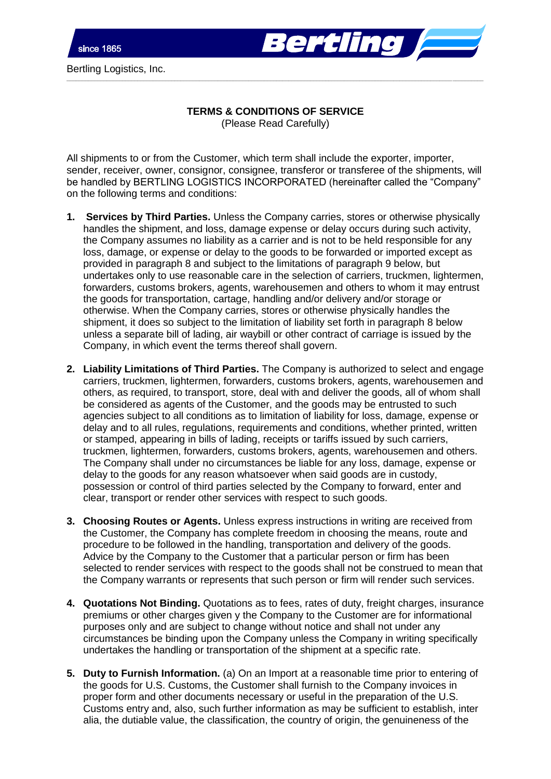



Bertling Logistics, Inc. \_\_\_\_\_\_\_\_\_\_\_\_\_\_\_\_\_\_\_\_\_\_\_\_\_\_\_\_\_\_\_\_\_\_\_\_\_\_\_\_\_\_\_\_\_\_\_\_\_\_\_\_\_\_\_\_\_\_\_\_\_\_\_\_\_\_\_\_\_\_\_\_\_\_\_\_\_\_\_\_\_\_\_\_\_\_\_\_\_\_\_\_\_\_\_\_\_\_\_\_\_\_\_\_\_\_\_\_\_\_\_\_\_\_\_\_\_\_\_\_\_\_\_\_\_\_\_\_\_\_\_\_\_\_\_

## **TERMS & CONDITIONS OF SERVICE**

(Please Read Carefully)

All shipments to or from the Customer, which term shall include the exporter, importer, sender, receiver, owner, consignor, consignee, transferor or transferee of the shipments, will be handled by BERTLING LOGISTICS INCORPORATED (hereinafter called the "Company" on the following terms and conditions:

- **1. Services by Third Parties.** Unless the Company carries, stores or otherwise physically handles the shipment, and loss, damage expense or delay occurs during such activity, the Company assumes no liability as a carrier and is not to be held responsible for any loss, damage, or expense or delay to the goods to be forwarded or imported except as provided in paragraph 8 and subject to the limitations of paragraph 9 below, but undertakes only to use reasonable care in the selection of carriers, truckmen, lightermen, forwarders, customs brokers, agents, warehousemen and others to whom it may entrust the goods for transportation, cartage, handling and/or delivery and/or storage or otherwise. When the Company carries, stores or otherwise physically handles the shipment, it does so subject to the limitation of liability set forth in paragraph 8 below unless a separate bill of lading, air waybill or other contract of carriage is issued by the Company, in which event the terms thereof shall govern.
- **2. Liability Limitations of Third Parties.** The Company is authorized to select and engage carriers, truckmen, lightermen, forwarders, customs brokers, agents, warehousemen and others, as required, to transport, store, deal with and deliver the goods, all of whom shall be considered as agents of the Customer, and the goods may be entrusted to such agencies subject to all conditions as to limitation of liability for loss, damage, expense or delay and to all rules, regulations, requirements and conditions, whether printed, written or stamped, appearing in bills of lading, receipts or tariffs issued by such carriers, truckmen, lightermen, forwarders, customs brokers, agents, warehousemen and others. The Company shall under no circumstances be liable for any loss, damage, expense or delay to the goods for any reason whatsoever when said goods are in custody, possession or control of third parties selected by the Company to forward, enter and clear, transport or render other services with respect to such goods.
- **3. Choosing Routes or Agents.** Unless express instructions in writing are received from the Customer, the Company has complete freedom in choosing the means, route and procedure to be followed in the handling, transportation and delivery of the goods. Advice by the Company to the Customer that a particular person or firm has been selected to render services with respect to the goods shall not be construed to mean that the Company warrants or represents that such person or firm will render such services.
- **4. Quotations Not Binding.** Quotations as to fees, rates of duty, freight charges, insurance premiums or other charges given y the Company to the Customer are for informational purposes only and are subject to change without notice and shall not under any circumstances be binding upon the Company unless the Company in writing specifically undertakes the handling or transportation of the shipment at a specific rate.
- **5. Duty to Furnish Information.** (a) On an Import at a reasonable time prior to entering of the goods for U.S. Customs, the Customer shall furnish to the Company invoices in proper form and other documents necessary or useful in the preparation of the U.S. Customs entry and, also, such further information as may be sufficient to establish, inter alia, the dutiable value, the classification, the country of origin, the genuineness of the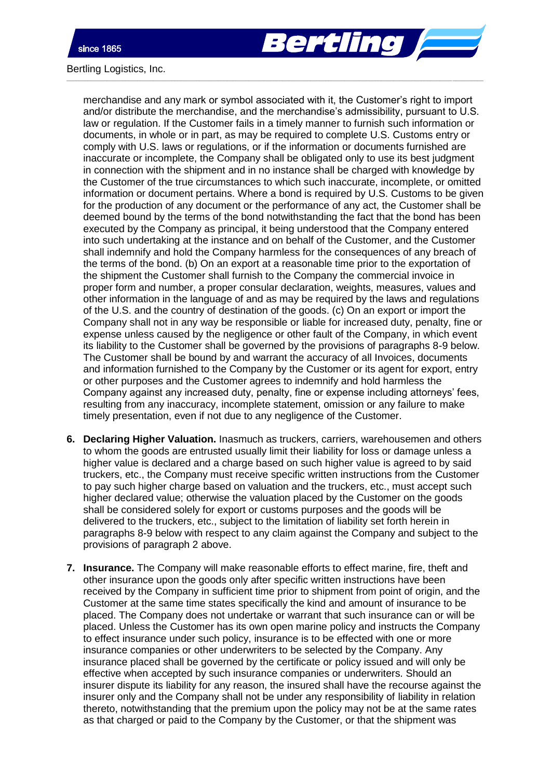

merchandise and any mark or symbol associated with it, the Customer's right to import and/or distribute the merchandise, and the merchandise's admissibility, pursuant to U.S. law or regulation. If the Customer fails in a timely manner to furnish such information or documents, in whole or in part, as may be required to complete U.S. Customs entry or comply with U.S. laws or regulations, or if the information or documents furnished are inaccurate or incomplete, the Company shall be obligated only to use its best judgment in connection with the shipment and in no instance shall be charged with knowledge by the Customer of the true circumstances to which such inaccurate, incomplete, or omitted information or document pertains. Where a bond is required by U.S. Customs to be given for the production of any document or the performance of any act, the Customer shall be deemed bound by the terms of the bond notwithstanding the fact that the bond has been executed by the Company as principal, it being understood that the Company entered into such undertaking at the instance and on behalf of the Customer, and the Customer shall indemnify and hold the Company harmless for the consequences of any breach of the terms of the bond. (b) On an export at a reasonable time prior to the exportation of the shipment the Customer shall furnish to the Company the commercial invoice in proper form and number, a proper consular declaration, weights, measures, values and other information in the language of and as may be required by the laws and regulations of the U.S. and the country of destination of the goods. (c) On an export or import the Company shall not in any way be responsible or liable for increased duty, penalty, fine or expense unless caused by the negligence or other fault of the Company, in which event its liability to the Customer shall be governed by the provisions of paragraphs 8-9 below. The Customer shall be bound by and warrant the accuracy of all Invoices, documents and information furnished to the Company by the Customer or its agent for export, entry or other purposes and the Customer agrees to indemnify and hold harmless the Company against any increased duty, penalty, fine or expense including attorneys' fees, resulting from any inaccuracy, incomplete statement, omission or any failure to make timely presentation, even if not due to any negligence of the Customer.

\_\_\_\_\_\_\_\_\_\_\_\_\_\_\_\_\_\_\_\_\_\_\_\_\_\_\_\_\_\_\_\_\_\_\_\_\_\_\_\_\_\_\_\_\_\_\_\_\_\_\_\_\_\_\_\_\_\_\_\_\_\_\_\_\_\_\_\_\_\_\_\_\_\_\_\_\_\_\_\_\_\_\_\_\_\_\_\_\_\_\_\_\_\_\_\_\_\_\_\_\_\_\_\_\_\_\_\_\_\_\_\_\_\_\_\_\_\_\_\_\_\_\_\_\_\_\_\_\_\_\_\_\_\_\_

- **6. Declaring Higher Valuation.** Inasmuch as truckers, carriers, warehousemen and others to whom the goods are entrusted usually limit their liability for loss or damage unless a higher value is declared and a charge based on such higher value is agreed to by said truckers, etc., the Company must receive specific written instructions from the Customer to pay such higher charge based on valuation and the truckers, etc., must accept such higher declared value; otherwise the valuation placed by the Customer on the goods shall be considered solely for export or customs purposes and the goods will be delivered to the truckers, etc., subject to the limitation of liability set forth herein in paragraphs 8-9 below with respect to any claim against the Company and subject to the provisions of paragraph 2 above.
- **7. Insurance.** The Company will make reasonable efforts to effect marine, fire, theft and other insurance upon the goods only after specific written instructions have been received by the Company in sufficient time prior to shipment from point of origin, and the Customer at the same time states specifically the kind and amount of insurance to be placed. The Company does not undertake or warrant that such insurance can or will be placed. Unless the Customer has its own open marine policy and instructs the Company to effect insurance under such policy, insurance is to be effected with one or more insurance companies or other underwriters to be selected by the Company. Any insurance placed shall be governed by the certificate or policy issued and will only be effective when accepted by such insurance companies or underwriters. Should an insurer dispute its liability for any reason, the insured shall have the recourse against the insurer only and the Company shall not be under any responsibility of liability in relation thereto, notwithstanding that the premium upon the policy may not be at the same rates as that charged or paid to the Company by the Customer, or that the shipment was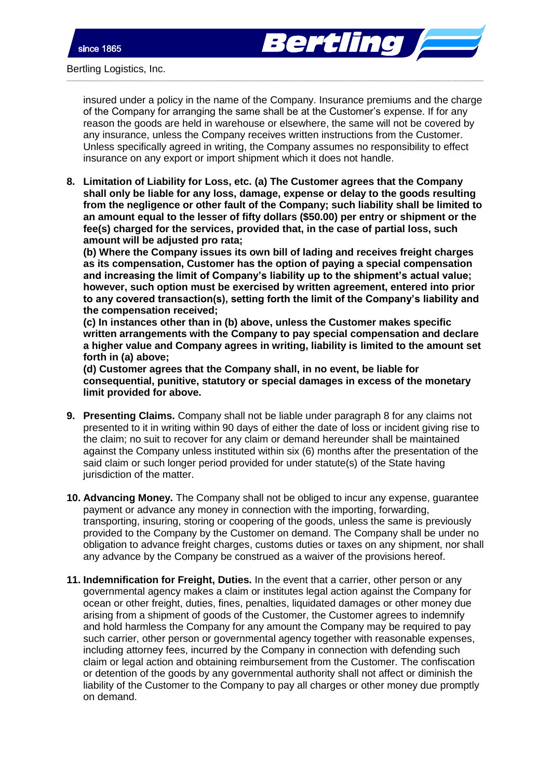

insured under a policy in the name of the Company. Insurance premiums and the charge of the Company for arranging the same shall be at the Customer's expense. If for any reason the goods are held in warehouse or elsewhere, the same will not be covered by any insurance, unless the Company receives written instructions from the Customer. Unless specifically agreed in writing, the Company assumes no responsibility to effect insurance on any export or import shipment which it does not handle.

\_\_\_\_\_\_\_\_\_\_\_\_\_\_\_\_\_\_\_\_\_\_\_\_\_\_\_\_\_\_\_\_\_\_\_\_\_\_\_\_\_\_\_\_\_\_\_\_\_\_\_\_\_\_\_\_\_\_\_\_\_\_\_\_\_\_\_\_\_\_\_\_\_\_\_\_\_\_\_\_\_\_\_\_\_\_\_\_\_\_\_\_\_\_\_\_\_\_\_\_\_\_\_\_\_\_\_\_\_\_\_\_\_\_\_\_\_\_\_\_\_\_\_\_\_\_\_\_\_\_\_\_\_\_\_

**8. Limitation of Liability for Loss, etc. (a) The Customer agrees that the Company shall only be liable for any loss, damage, expense or delay to the goods resulting from the negligence or other fault of the Company; such liability shall be limited to an amount equal to the lesser of fifty dollars (\$50.00) per entry or shipment or the fee(s) charged for the services, provided that, in the case of partial loss, such amount will be adjusted pro rata;**

**(b) Where the Company issues its own bill of lading and receives freight charges as its compensation, Customer has the option of paying a special compensation and increasing the limit of Company's liability up to the shipment's actual value; however, such option must be exercised by written agreement, entered into prior to any covered transaction(s), setting forth the limit of the Company's liability and the compensation received;**

**(c) In instances other than in (b) above, unless the Customer makes specific written arrangements with the Company to pay special compensation and declare a higher value and Company agrees in writing, liability is limited to the amount set forth in (a) above;**

**(d) Customer agrees that the Company shall, in no event, be liable for consequential, punitive, statutory or special damages in excess of the monetary limit provided for above.**

- **9. Presenting Claims.** Company shall not be liable under paragraph 8 for any claims not presented to it in writing within 90 days of either the date of loss or incident giving rise to the claim; no suit to recover for any claim or demand hereunder shall be maintained against the Company unless instituted within six (6) months after the presentation of the said claim or such longer period provided for under statute(s) of the State having jurisdiction of the matter.
- **10. Advancing Money.** The Company shall not be obliged to incur any expense, guarantee payment or advance any money in connection with the importing, forwarding, transporting, insuring, storing or coopering of the goods, unless the same is previously provided to the Company by the Customer on demand. The Company shall be under no obligation to advance freight charges, customs duties or taxes on any shipment, nor shall any advance by the Company be construed as a waiver of the provisions hereof.
- **11. Indemnification for Freight, Duties.** In the event that a carrier, other person or any governmental agency makes a claim or institutes legal action against the Company for ocean or other freight, duties, fines, penalties, liquidated damages or other money due arising from a shipment of goods of the Customer, the Customer agrees to indemnify and hold harmless the Company for any amount the Company may be required to pay such carrier, other person or governmental agency together with reasonable expenses, including attorney fees, incurred by the Company in connection with defending such claim or legal action and obtaining reimbursement from the Customer. The confiscation or detention of the goods by any governmental authority shall not affect or diminish the liability of the Customer to the Company to pay all charges or other money due promptly on demand.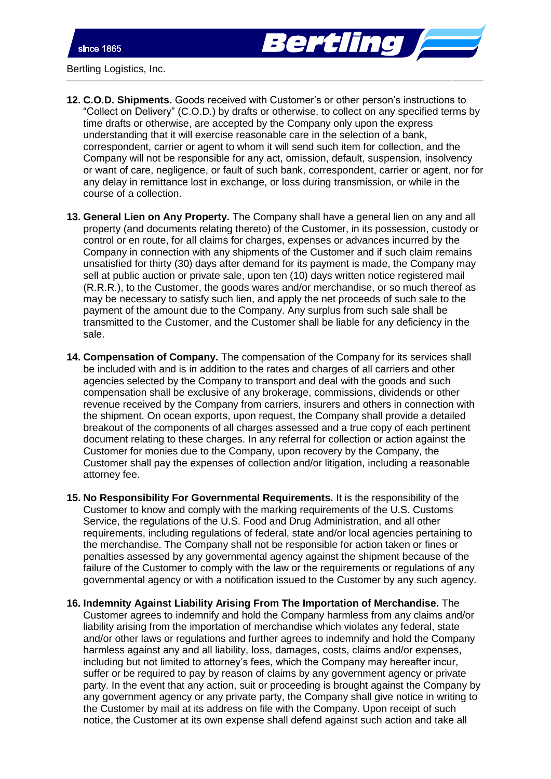



**12. C.O.D. Shipments.** Goods received with Customer's or other person's instructions to "Collect on Delivery" (C.O.D.) by drafts or otherwise, to collect on any specified terms by time drafts or otherwise, are accepted by the Company only upon the express understanding that it will exercise reasonable care in the selection of a bank, correspondent, carrier or agent to whom it will send such item for collection, and the Company will not be responsible for any act, omission, default, suspension, insolvency or want of care, negligence, or fault of such bank, correspondent, carrier or agent, nor for any delay in remittance lost in exchange, or loss during transmission, or while in the course of a collection.

\_\_\_\_\_\_\_\_\_\_\_\_\_\_\_\_\_\_\_\_\_\_\_\_\_\_\_\_\_\_\_\_\_\_\_\_\_\_\_\_\_\_\_\_\_\_\_\_\_\_\_\_\_\_\_\_\_\_\_\_\_\_\_\_\_\_\_\_\_\_\_\_\_\_\_\_\_\_\_\_\_\_\_\_\_\_\_\_\_\_\_\_\_\_\_\_\_\_\_\_\_\_\_\_\_\_\_\_\_\_\_\_\_\_\_\_\_\_\_\_\_\_\_\_\_\_\_\_\_\_\_\_\_\_\_

- **13. General Lien on Any Property.** The Company shall have a general lien on any and all property (and documents relating thereto) of the Customer, in its possession, custody or control or en route, for all claims for charges, expenses or advances incurred by the Company in connection with any shipments of the Customer and if such claim remains unsatisfied for thirty (30) days after demand for its payment is made, the Company may sell at public auction or private sale, upon ten (10) days written notice registered mail (R.R.R.), to the Customer, the goods wares and/or merchandise, or so much thereof as may be necessary to satisfy such lien, and apply the net proceeds of such sale to the payment of the amount due to the Company. Any surplus from such sale shall be transmitted to the Customer, and the Customer shall be liable for any deficiency in the sale.
- **14. Compensation of Company.** The compensation of the Company for its services shall be included with and is in addition to the rates and charges of all carriers and other agencies selected by the Company to transport and deal with the goods and such compensation shall be exclusive of any brokerage, commissions, dividends or other revenue received by the Company from carriers, insurers and others in connection with the shipment. On ocean exports, upon request, the Company shall provide a detailed breakout of the components of all charges assessed and a true copy of each pertinent document relating to these charges. In any referral for collection or action against the Customer for monies due to the Company, upon recovery by the Company, the Customer shall pay the expenses of collection and/or litigation, including a reasonable attorney fee.
- **15. No Responsibility For Governmental Requirements.** It is the responsibility of the Customer to know and comply with the marking requirements of the U.S. Customs Service, the regulations of the U.S. Food and Drug Administration, and all other requirements, including regulations of federal, state and/or local agencies pertaining to the merchandise. The Company shall not be responsible for action taken or fines or penalties assessed by any governmental agency against the shipment because of the failure of the Customer to comply with the law or the requirements or regulations of any governmental agency or with a notification issued to the Customer by any such agency.
- **16. Indemnity Against Liability Arising From The Importation of Merchandise.** The Customer agrees to indemnify and hold the Company harmless from any claims and/or liability arising from the importation of merchandise which violates any federal, state and/or other laws or regulations and further agrees to indemnify and hold the Company harmless against any and all liability, loss, damages, costs, claims and/or expenses, including but not limited to attorney's fees, which the Company may hereafter incur, suffer or be required to pay by reason of claims by any government agency or private party. In the event that any action, suit or proceeding is brought against the Company by any government agency or any private party, the Company shall give notice in writing to the Customer by mail at its address on file with the Company. Upon receipt of such notice, the Customer at its own expense shall defend against such action and take all